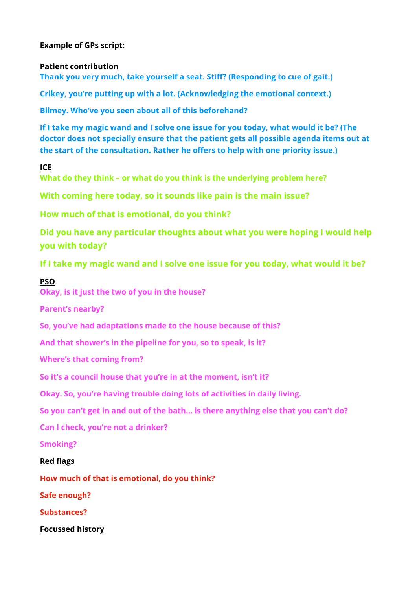# **Example of GPs script:**

### **Patient contribution**

**Thank you very much, take yourself a seat. Stiff? (Responding to cue of gait.)** 

**Crikey, you're putting up with a lot. (Acknowledging the emotional context.)** 

**Blimey. Who've you seen about all of this beforehand?** 

**If I take my magic wand and I solve one issue for you today, what would it be? (The doctor does not specially ensure that the patient gets all possible agenda items out at the start of the consultation. Rather he offers to help with one priority issue.)** 

# **ICE**

**What do they think – or what do you think is the underlying problem here?** 

**With coming here today, so it sounds like pain is the main issue?** 

**How much of that is emotional, do you think?** 

**Did you have any particular thoughts about what you were hoping I would help you with today?** 

**If I take my magic wand and I solve one issue for you today, what would it be?**

# **PSO**

**Okay, is it just the two of you in the house?** 

**Parent's nearby?** 

**So, you've had adaptations made to the house because of this?** 

**And that shower's in the pipeline for you, so to speak, is it?** 

**Where's that coming from?** 

**So it's a council house that you're in at the moment, isn't it?** 

**Okay. So, you're having trouble doing lots of activities in daily living.** 

**So you can't get in and out of the bath… is there anything else that you can't do?** 

**Can I check, you're not a drinker?** 

**Smoking?** 

#### **Red flags**

**How much of that is emotional, do you think?**

**Safe enough?**

**Substances?** 

**Focussed history**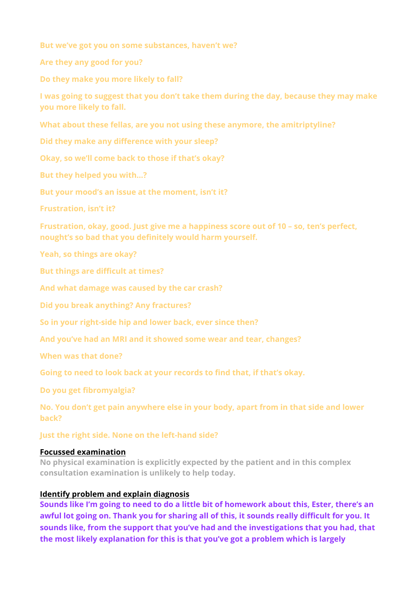**But we've got you on some substances, haven't we?** 

**Are they any good for you?** 

**Do they make you more likely to fall?** 

**I was going to suggest that you don't take them during the day, because they may make you more likely to fall.** 

**What about these fellas, are you not using these anymore, the amitriptyline?** 

**Did they make any difference with your sleep?** 

**Okay, so we'll come back to those if that's okay?** 

**But they helped you with…?** 

**But your mood's an issue at the moment, isn't it?** 

**Frustration, isn't it?** 

**Frustration, okay, good. Just give me a happiness score out of 10 – so, ten's perfect, nought's so bad that you definitely would harm yourself.** 

**Yeah, so things are okay?** 

**But things are difficult at times?** 

**And what damage was caused by the car crash?** 

**Did you break anything? Any fractures?** 

**So in your right-side hip and lower back, ever since then?** 

**And you've had an MRI and it showed some wear and tear, changes?** 

**When was that done?** 

**Going to need to look back at your records to find that, if that's okay.** 

**Do you get fibromyalgia?** 

**No. You don't get pain anywhere else in your body, apart from in that side and lower back?** 

**Just the right side. None on the left-hand side?**

#### **Focussed examination**

**No physical examination is explicitly expected by the patient and in this complex consultation examination is unlikely to help today.**

### **Identify problem and explain diagnosis**

**Sounds like I'm going to need to do a little bit of homework about this, Ester, there's an awful lot going on. Thank you for sharing all of this, it sounds really difficult for you. It sounds like, from the support that you've had and the investigations that you had, that the most likely explanation for this is that you've got a problem which is largely**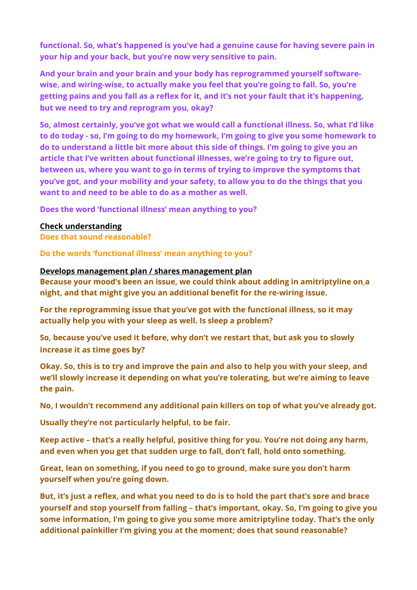**functional. So, what's happened is you've had a genuine cause for having severe pain in your hip and your back, but you're now very sensitive to pain.** 

**And your brain and your brain and your body has reprogrammed yourself softwarewise, and wiring-wise, to actually make you feel that you're going to fall. So, you're getting pains and you fall as a reflex for it, and it's not your fault that it's happening, but we need to try and reprogram you, okay?** 

**So, almost certainly, you've got what we would call a functional illness. So, what I'd like to do today - so, I'm going to do my homework, I'm going to give you some homework to do to understand a little bit more about this side of things. I'm going to give you an article that I've written about functional illnesses, we're going to try to figure out, between us, where you want to go in terms of trying to improve the symptoms that you've got, and your mobility and your safety, to allow you to do the things that you want to and need to be able to do as a mother as well.** 

**Does the word 'functional illness' mean anything to you?** 

# **Check understanding**

**Does that sound reasonable?** 

**Do the words 'functional illness' mean anything to you?** 

# **Develops management plan / shares management plan**

**Because your mood's been an issue, we could think about adding in amitriptyline on a night, and that might give you an additional benefit for the re-wiring issue.** 

**For the reprogramming issue that you've got with the functional illness, so it may actually help you with your sleep as well. Is sleep a problem?** 

**So, because you've used it before, why don't we restart that, but ask you to slowly increase it as time goes by?** 

**Okay. So, this is to try and improve the pain and also to help you with your sleep, and we'll slowly increase it depending on what you're tolerating, but we're aiming to leave the pain.** 

**No, I wouldn't recommend any additional pain killers on top of what you've already got.** 

**Usually they're not particularly helpful, to be fair.** 

**Keep active – that's a really helpful, positive thing for you. You're not doing any harm, and even when you get that sudden urge to fall, don't fall, hold onto something.** 

**Great, lean on something, if you need to go to ground, make sure you don't harm yourself when you're going down.** 

**But, it's just a reflex, and what you need to do is to hold the part that's sore and brace yourself and stop yourself from falling – that's important, okay. So, I'm going to give you some information, I'm going to give you some more amitriptyline today. That's the only additional painkiller I'm giving you at the moment; does that sound reasonable?**